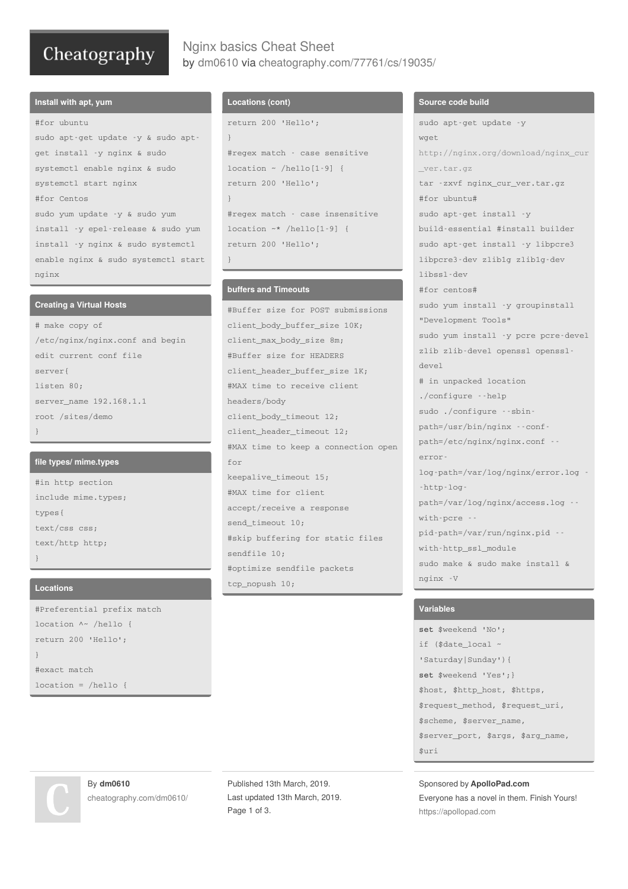# Cheatography

# Nginx basics Cheat Sheet by [dm0610](http://www.cheatography.com/dm0610/) via [cheatography.com/77761/cs/19035/](http://www.cheatography.com/dm0610/cheat-sheets/nginx-basics)

#### **Install with apt, yum**

#for ubuntu sudo apt-get update -y & sudo aptget install -y nginx & sudo systemctl enable nginx & sudo systemctl start nginx #for Centos sudo yum update -y & sudo yum install -y epel-release & sudo yum install -y nginx & sudo systemctl enable nginx & sudo systemctl start nginx

#### **Creating a Virtual Hosts**

# make copy of /etc/nginx/nginx.conf and begin edit current conf file server{ listen 80; server\_name 192.168.1.1 root /sites/demo }

#### **file types/ mime.types**

#in http section include mime.types; types{ text/css css; text/http http; }

#### **Locations**

#Preferential prefix match location ^~ /hello { return 200 'Hello'; } #exact match location =  $/h$ ello {

### **Locations (cont)**

```
return 200 'Hello';
}
#regex match - case sensitive
location ~ /hello[1-9] {
return 200 'Hello';
}
#regex match - case insensitive
location ~* /hello[1-9] {
return 200 'Hello';
}
```
### **buffers and Timeouts**

#Buffer size for POST submissions client\_body\_buffer\_size 10K; client\_max\_body\_size 8m; #Buffer size for HEADERS client header buffer size 1K; #MAX time to receive client headers/body client\_body\_timeout 12; client\_header\_timeout 12; #MAX time to keep a connection open for keepalive\_timeout 15; #MAX time for client accept/receive a response send timeout 10; #skip buffering for static files sendfile 10; #optimize sendfile packets tcp\_nopush 10;

### **Source code build**

```
sudo apt-get update -y
wget
http://nginx.org/download/nginx_cur
_ver.tar.gz
tar -zxvf nginx_cur_ver.tar.gz
#for ubuntu#
sudo apt-get install -y
build-essential #install builder
sudo apt-get install -y libpcre3
libpcre3-dev zlib1g zlib1g-dev
libssl-dev
#for centos#
sudo yum install -y groupinstall
"Development Tools"
sudo yum install -y pcre pcre-devel
zlib zlib-devel openssl openssl-
devel
# in unpacked location
./configure --help
sudo ./configure --sbin-
path=/usr/bin/nginx --conf-
path=/etc/nginx/nginx.conf --
error-
log-path=/var/log/nginx/error.log -
-http-log-
path=/var/log/nginx/access.log --
with-pcre --
pid-path=/var/run/nginx.pid --
with-http_ssl_module
sudo make & sudo make install &
nginx -V
```
#### **Variables**

**set** \$weekend 'No'; if (\$date\_local ~ 'Saturday|Sunday'){ **set** \$weekend 'Yes';} \$host, \$http\_host, \$https, \$request\_method, \$request\_uri, \$scheme, \$server\_name, \$server\_port, \$args, \$arg\_name, \$uri

Sponsored by **ApolloPad.com** Everyone has a novel in them. Finish Yours! <https://apollopad.com>

By **dm0610** [cheatography.com/dm0610/](http://www.cheatography.com/dm0610/)

Published 13th March, 2019. Last updated 13th March, 2019. Page 1 of 3.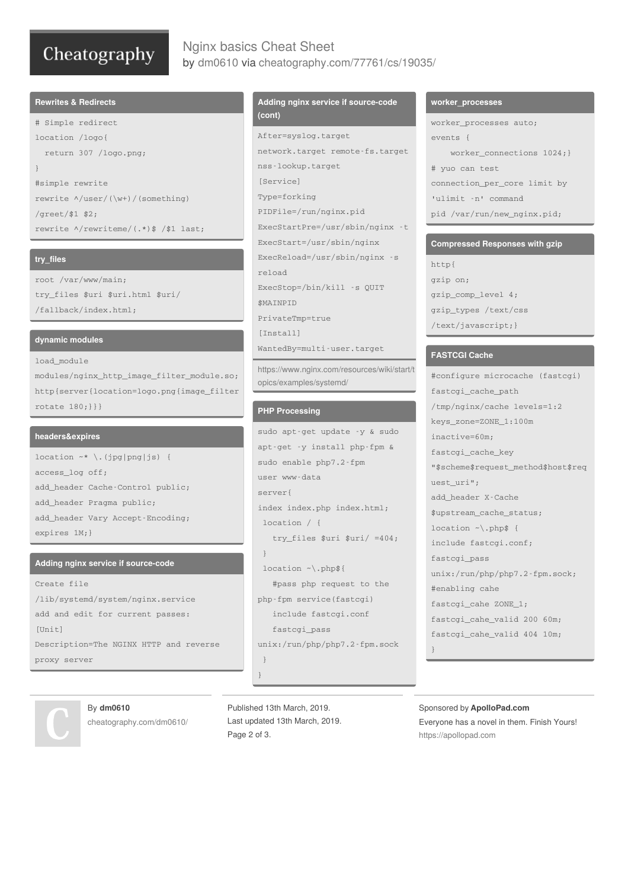# Cheatography

# Nginx basics Cheat Sheet by [dm0610](http://www.cheatography.com/dm0610/) via [cheatography.com/77761/cs/19035/](http://www.cheatography.com/dm0610/cheat-sheets/nginx-basics)

#### **Rewrites & Redirects**

```
# Simple redirect
location /logo{
 return 307 /logo.png;
}
#simple rewrite
rewrite ^/user/(\w+)/(something)
/greet/$1 $2;
rewrite ^/rewriteme/(.*)$ /$1 last;
```
#### **try\_files**

root /var/www/main; try\_files \$uri \$uri.html \$uri/ /fallback/index.html;

#### **dynamic modules**

#### load\_module

modules/nginx\_http\_image\_filter\_module.so; http{server{location=logo.png{image\_filter rotate 180;}}}

#### **headers&expires**

location  $~\sim~$  \.(jpg|png|js) { access\_log off; add\_header Cache-Control public; add\_header Pragma public; add\_header Vary Accept-Encoding; expires 1M;}

#### **Adding nginx service if source-code**

```
Create file
/lib/systemd/system/nginx.service
add and edit for current passes:
[Unit]
Description=The NGINX HTTP and reverse
proxy server
```
#### **Adding nginx service if source-code (cont)**

```
After=syslog.target
network.target remote-fs.target
nss-lookup.target
[Service]
Type=forking
PIDFile=/run/nginx.pid
ExecStartPre=/usr/sbin/nginx -t
ExecStart=/usr/sbin/nginx
ExecReload=/usr/sbin/nginx -s
reload
ExecStop=/bin/kill -s QUIT
$MAINPID
PrivateTmp=true
[Install]
WantedBy=multi-user.target
```
[https://www.nginx.com/resources/wiki/start/t](https://www.nginx.com/resources/wiki/start/topics/examples/systemd/) opics/examples/systemd/

#### **PHP Processing**

```
sudo apt-get update -y & sudo
apt-get -y install php-fpm &
sudo enable php7.2-fpm
user www-data
server{
index index.php index.html;
location / {
   try_files $uri $uri/ =404;
 }
 location ~\.php${
   #pass php request to the
php-fpm service(fastcgi)
   include fastcgi.conf
   fastcgi_pass
unix:/run/php/php7.2-fpm.sock
 }
}
```
By **dm0610** [cheatography.com/dm0610/](http://www.cheatography.com/dm0610/)

Published 13th March, 2019. Last updated 13th March, 2019. Page 2 of 3.

#### **worker\_processes**

worker\_processes auto;  $\arctan t$   $\epsilon$   $\epsilon$ worker\_connections 1024;} # yuo can test connection\_per\_core limit by 'ulimit -n' command pid /var/run/new\_nginx.pid;

#### **Compressed Responses with gzip**

http{ gzip on; gzip\_comp\_level 4; gzip\_types /text/css /text/javascript;}

#### **FASTCGI Cache**

#configure microcache (fastcgi) fastcgi\_cache\_path /tmp/nginx/cache levels=1:2 keys\_zone=ZONE\_1:100m inactive=60m; fastcgi\_cache\_key "\$scheme\$request\_method\$host\$req uest\_uri"; add\_header X-Cache \$upstream\_cache\_status; location ~\.php\$ { include fastcgi.conf; fastcgi\_pass unix:/run/php/php7.2-fpm.sock; #enabling cahe fastcgi\_cahe ZONE\_1; fastcgi\_cahe\_valid 200 60m; fastcgi\_cahe\_valid 404 10m; }

#### Sponsored by **ApolloPad.com** Everyone has a novel in them. Finish Yours! <https://apollopad.com>